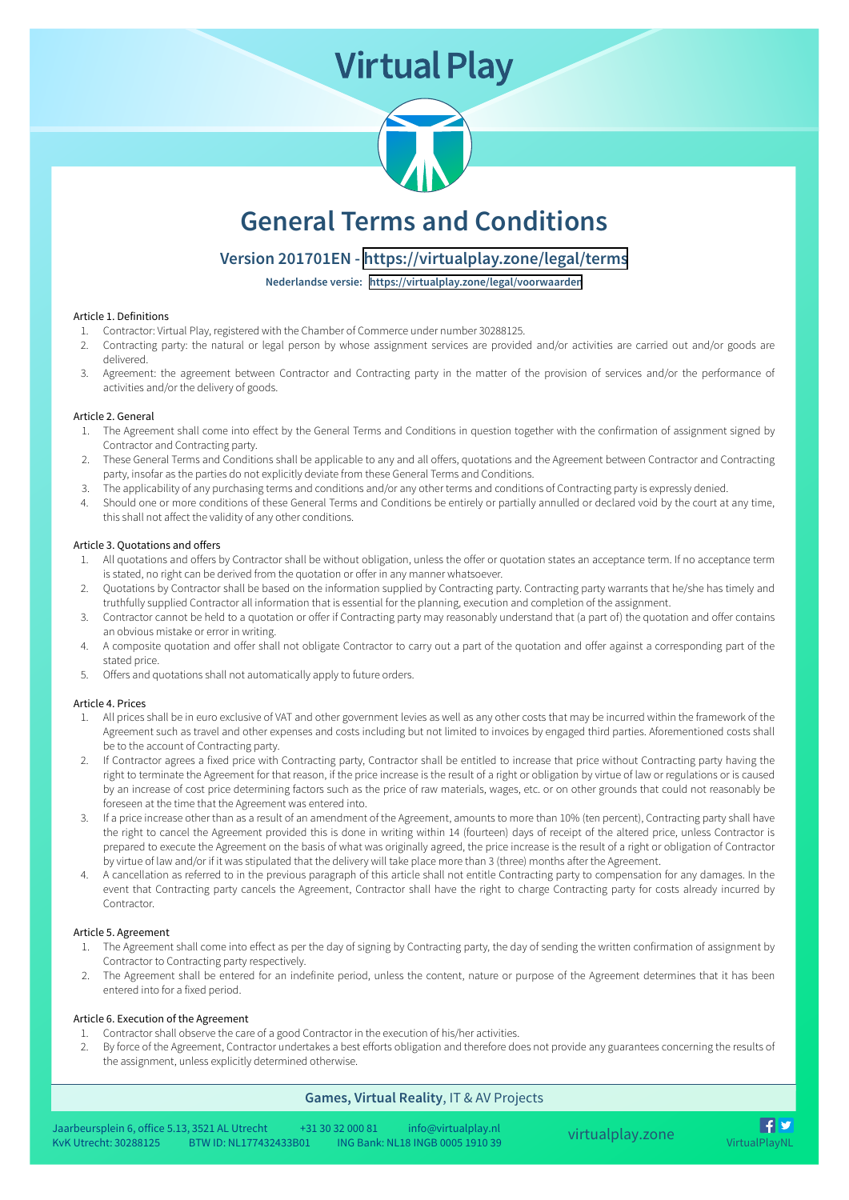# **Virtual Play**



# **General Terms and Conditions**

## **Version 201701EN -<https://virtualplay.zone/legal/terms>**

**Nederlandse versie: <https://virtualplay.zone/legal/voorwaarden>**

#### Article 1. Definitions

- 1. Contractor: Virtual Play, registered with the Chamber of Commerce under number 30288125.
- 2. Contracting party: the natural or legal person by whose assignment services are provided and/or activities are carried out and/or goods are delivered.<br>3. Agreement: the agreement between Contractor and Contracting party
- 

#### Article 2. General

- 1. The Agreement shall come into effect by the General Terms and Conditions in question together with the confirmation of assignment signed by Contractor and Contracting party.
- 2. These General Terms and Conditions shall be applicable to any and all offers, quotations and the Agreement between Contractor and Contracting<br>party, insofar as the parties do not explicitly deviate from these General Te
- 
- Should one or more conditions of these General Terms and Conditions be entirely or partially annulled or declared void by the court at any time,<br>this shall not affect the validity of any other conditions.

#### Article 3. Quotations and offers

- 1. All quotations and offers by Contractor shall be without obligation, unless the offer or quotation states an acceptance term. If no acceptance term<br>is stated, no right can be derived from the quotation or offer in any m
- 2. Quotations by Contractor shall be based on the information supplied by Contracting party. Contracting party warrants that he/she has timely and truthfully supplied Contractor all information that is essential for the pl
- 
- 3. Contractor cannot be held to a quotation or offer if Contracting party may reasonably understand that (a part of) the quotation and offer contains<br>an obvious mistake or error in writing.<br>4. A composite quotation and off
- 

#### Article 4. Prices

- 
- 1. All prices shall be in euro exclusive of VAT and other government levies as well as any other costs that may be incurred within the framework of the Agreement such as tavel and other expenses and costs including but not
- 
- 

#### Article 5. Agreement

- 1. The Agreement shall come into effect as per the day of signing by Contracting party, the day of sending the written confirmation of assignment by Contractor to Contracting party respectively.
- 2. The Agreement shall be entered for an indefinite period, unless the content, nature or purpose of the Agreement determines that it has been entered into for a fixed period.

#### Article 6. Execution of the Agreement

- 1. Contractor shall observe the care of a good Contractor in the execution of his/her activities.
- By force of the Agreement, Contractor undertakes a best efforts obligation and therefore does not provide any guarantees concerning the results of the assignment, unless explicitly determined otherwise.

### **Games, Virtual Reality**, IT & AV Projects

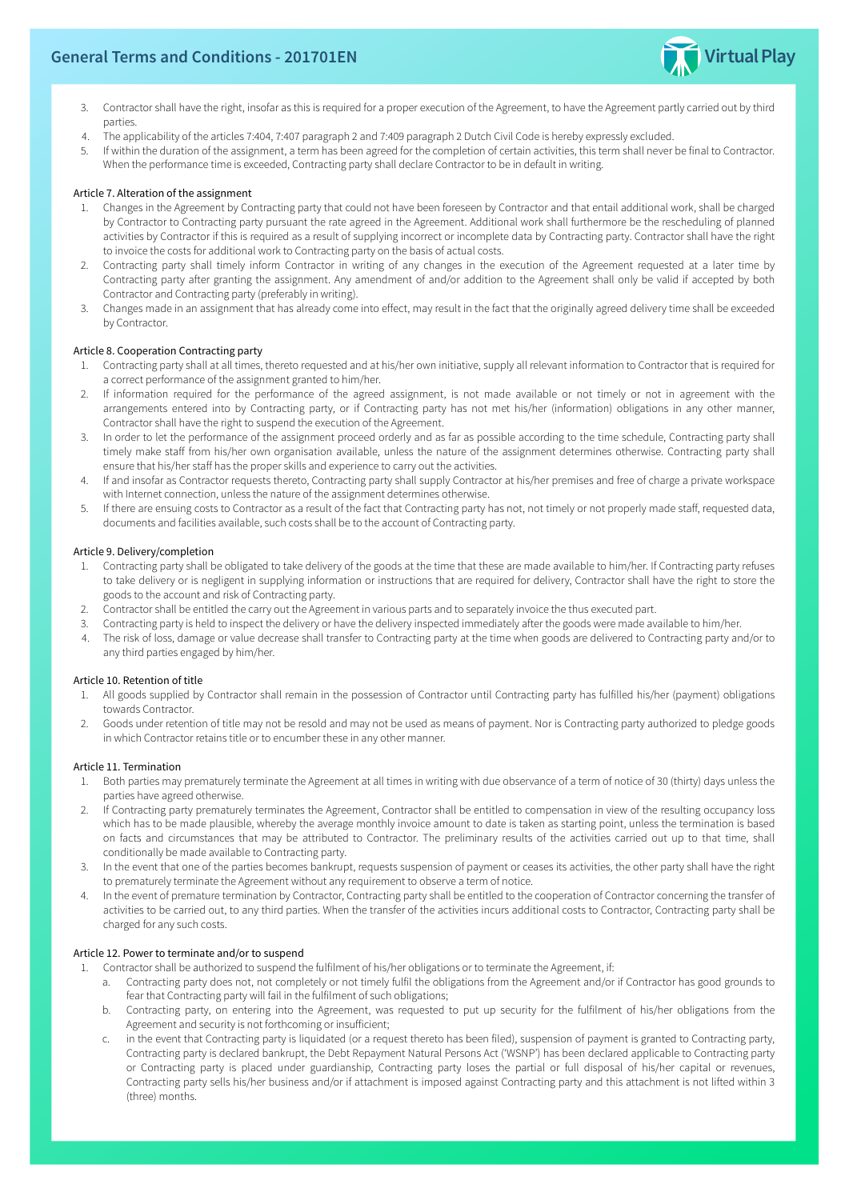

- 3. Contractor shall have the right, insofar as this is required for a proper execution of the Agreement, to have the Agreement partly carried out by third parties.
- 4. The applicability of the articles 7:404, 7:407 paragraph 2 and 7:409 paragraph 2 Dutch Civil Code is hereby expressly excluded.
- If within the duration of the assignment, a term has been agreed for the completion of certain activities, this term shall never be final to Contractor.<br>When the performance time is exceeded, Contracting party shall declar

#### Article 7. Alteration of the assignment

- 1. Changes in the Agreement by Contracting party that could not have been foreseen by Contractor and that entail additional work, shall be charged<br>by Contractor to Contracting party pursuant the rate agreed in the Agreemen
- 2. Contracting party shall timely inform Contractor in writing of any changes in the execution of the Agreement requested at a later time by Contracting party after granting the assignment. Any amendment of and/or addition
- 

#### Article 8. Cooperation Contracting party

- 
- 1. Contracting party shall at all times, thereto requested and at his/her own initiative, supply all relevant information to Contractor that is required for<br>1. Contractor performance of the assignment granted to him/her.<br>2
- 3. In order to let the performance of the assignment proceed orderly and as far as possible according to the time schedule, Contracting party shall timely make staff from his/her own organisation available, unless the natu
- 4. If and insofar as Contractor requests thereto, Contracting party shall supply Contractor at his/her premises and free of charge a private workspace with Internet connection, unless the nature of the assignment determine
- 5. If there are ensuing costs to Contractor as a result of the fact that Contracting party has not, not timely or not properly made staff, requested data, documents and facilities available, such costs shall be to the acco

#### Article 9. Delivery/completion

- 1. Contracting party shall be obligated to take delivery of the goods at the time that these are made available to him/her. If Contracting party refuses<br>to take delivery or is negligent in supplying information or instruct
- 
- 
- 

#### Article 10. Retention of title

- 1. All goods supplied by Contractor shall remain in the possession of Contractor until Contracting party has fulfilled his/her (payment) obligations towards Contractor.
- Goods under retention of title may not be resold and may not be used as means of payment. Nor is Contracting party authorized to pledge goods in which Contractor retains title or to encumber these in any other manner.

#### Article 11. Termination

- 
- 1. Both parties may prematurely terminate the Agreement at all times in writing with due observance of a term of notice of 30 (thirty) days unless the parties have agreed otherwise.<br>2. If Contracting party prematurely term
- In the event that one of the parties becomes bankrupt, requests suspension of payment or ceases its activities, the other party shall have the right<br>to prematurely terminate the Agreement without any requirement to observe
- 4. In the event of premature termination by Contractor, Contracting party shall be entitled to the cooperation of Contractor concerning the transfer of activities to be carried out, to any third parties. When the transfer

#### Article 12. Power to terminate and/or to suspend

- Contractor shall be authorized to suspend the fulfilment of his/her obligations or to terminate the Agreement, if:
	- a. Contracting party does not, not completely or not timely fulfil the obligations from the Agreement and/or if Contractor has good grounds to fear that Contracting party will fail in the fulfilment of such obligations;<br>b.
	-
	- in the event that Contracting party is liquidated (or a request thereto has been filed), suspension of payment is granted to Contracting party, Contracting party is declared bankrupt, the Debt Repayment Natural Persons Act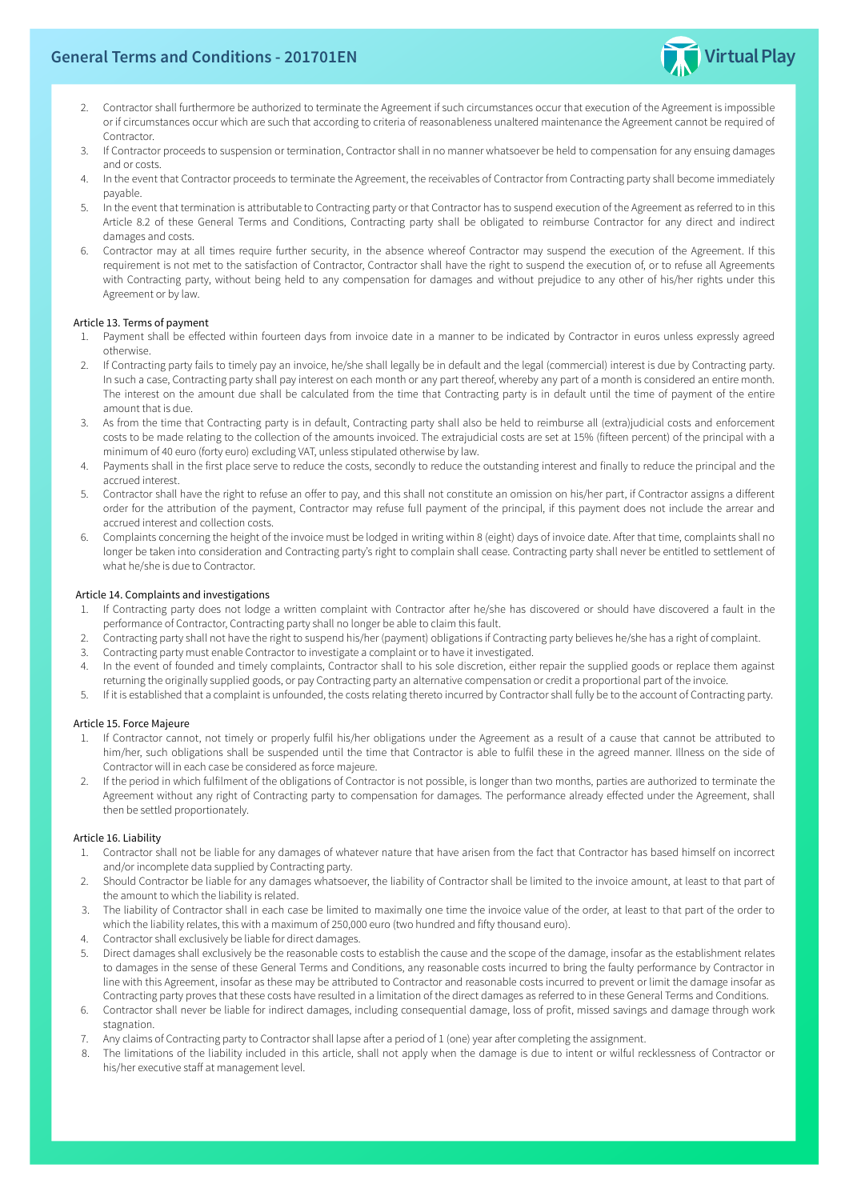

- Contractor shall furthermore be authorized to terminate the Agreement if such circumstances occur that execution of the Agreement is impossible<br>or if circumstances occur which are such that according to criteria of reasona
- 
- 
- 4. In the event that Contractor proceeds to terminate the Agreement, the receivables of Contractor from Contracting party shall become immediately<br>payable.<br>5. In the event that termination is attributable to Contracting pa
- 6. Contractor may at all times require further security, in the absence whereof Contractor may suspend the execution of the Agreement. If this requirement is not met to the satisfaction of Contractor, Contractor shall have

#### Article 13. Terms of payment

- 1. Payment shall be effected within fourteen days from invoice date in a manner to be indicated by Contractor in euros unless expressly agreed otherwise.
- 2. If Contracting party fails to timely pay an invoice, he/she shall legally be in default and the legal (commercial) interest is due by Contracting party.<br>In such a case, Contracting party shall pay interest on each month
- 3. As from the time that Contracting party is in default, Contracting party shall also be held to reimburse all (extra)judicial costs and enforcement costs to be made relating to the collection of the amounts invoiced. The
- 4. Payments shall in the first place serve to reduce the costs, secondly to reduce the outstanding interest and finally to reduce the principal and the accrued interest.
- 5. Contractor shall have the right to refuse an offer to pay, and this shall not constitute an omission on his/her part, if Contractor assigns a different order for the attribution of the payment, Contractor may refuse ful
- Complaints concerning the height of the invoice must be lodged in writing within 8 (eight) days of invoice date. After that time, complaints shall no<br>longer be taken into consideration and Contracting party's right to comp

#### Article 14. Complaints and investigations

- 1. If Contracting party does not lodge a written complaint with Contractor after he/she has discovered or should have discovered a fault in the performance of Contractor, Contracting party shall no longer be able to claim
- 
- 
- 4. In the event of founded and timely complaints, Contractor shall to his sole discretion, either repair the supplied goods or replace them against returning the originally supplied goods, or pay Contracting party an alter
- 

#### Article 15. Force Majeure

- 1. If Contractor cannot, not timely or properly fulfil his/her obligations under the Agreement as a result of a cause that cannot be attributed to him/her, such obligations shall be suspended until the time that Contractor
- 

#### Article 16. Liability

- 1. Contractor shall not be liable for any damages of whatever nature that have arisen from the fact that Contractor has based himself on incorrect and/or incomplete data supplied by Contracting party.
- 2. Should Contractor be liable for any damages whatsoever, the liability of Contractor shall be limited to the invoice amount, at least to that part of the amount to which the liability is related.
- 3. The liability of Contractor shall in each case be limited to maximally one time the invoice value of the order, at least to that part of the order to which the liability relates, this with a maximum of 250,000 euro (two
- 
- 4. Contractor shall exclusively be liable for direct damages.<br>
5. Direct damages shall exclusively be the reasonable costs to establish the cause and the scope of the damage, insofar as the establishment relates<br>
to damage
- 
- 
- 8. The limitations of the liability included in this article, shall not apply when the damage is due to intent or wilful recklessness of Contractor or his/her executive staff at management level.